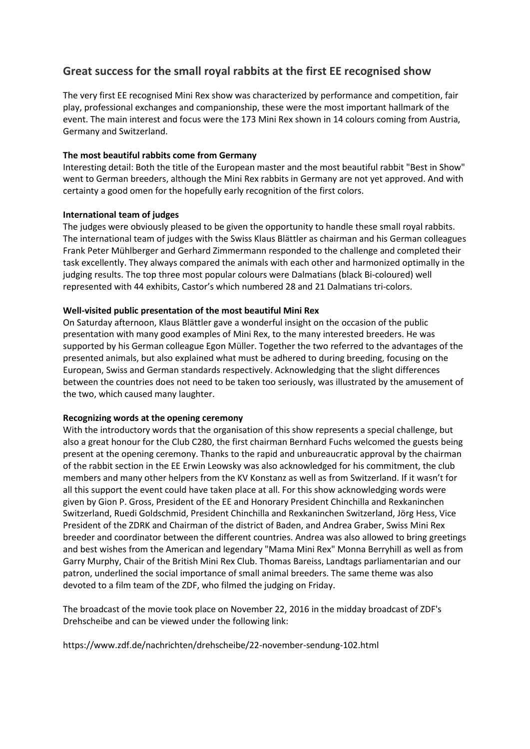# **Great success for the small royal rabbits at the first EE recognised show**

The very first EE recognised Mini Rex show was characterized by performance and competition, fair play, professional exchanges and companionship, these were the most important hallmark of the event. The main interest and focus were the 173 Mini Rex shown in 14 colours coming from Austria, Germany and Switzerland.

### **The most beautiful rabbits come from Germany**

Interesting detail: Both the title of the European master and the most beautiful rabbit "Best in Show" went to German breeders, although the Mini Rex rabbits in Germany are not yet approved. And with certainty a good omen for the hopefully early recognition of the first colors.

# **International team of judges**

The judges were obviously pleased to be given the opportunity to handle these small royal rabbits. The international team of judges with the Swiss Klaus Blättler as chairman and his German colleagues Frank Peter Mühlberger and Gerhard Zimmermann responded to the challenge and completed their task excellently. They always compared the animals with each other and harmonized optimally in the judging results. The top three most popular colours were Dalmatians (black Bi-coloured) well represented with 44 exhibits, Castor's which numbered 28 and 21 Dalmatians tri-colors.

# **Well-visited public presentation of the most beautiful Mini Rex**

On Saturday afternoon, Klaus Blättler gave a wonderful insight on the occasion of the public presentation with many good examples of Mini Rex, to the many interested breeders. He was supported by his German colleague Egon Müller. Together the two referred to the advantages of the presented animals, but also explained what must be adhered to during breeding, focusing on the European, Swiss and German standards respectively. Acknowledging that the slight differences between the countries does not need to be taken too seriously, was illustrated by the amusement of the two, which caused many laughter.

#### **Recognizing words at the opening ceremony**

With the introductory words that the organisation of this show represents a special challenge, but also a great honour for the Club C280, the first chairman Bernhard Fuchs welcomed the guests being present at the opening ceremony. Thanks to the rapid and unbureaucratic approval by the chairman of the rabbit section in the EE Erwin Leowsky was also acknowledged for his commitment, the club members and many other helpers from the KV Konstanz as well as from Switzerland. If it wasn't for all this support the event could have taken place at all. For this show acknowledging words were given by Gion P. Gross, President of the EE and Honorary President Chinchilla and Rexkaninchen Switzerland, Ruedi Goldschmid, President Chinchilla and Rexkaninchen Switzerland, Jörg Hess, Vice President of the ZDRK and Chairman of the district of Baden, and Andrea Graber, Swiss Mini Rex breeder and coordinator between the different countries. Andrea was also allowed to bring greetings and best wishes from the American and legendary "Mama Mini Rex" Monna Berryhill as well as from Garry Murphy, Chair of the British Mini Rex Club. Thomas Bareiss, Landtags parliamentarian and our patron, underlined the social importance of small animal breeders. The same theme was also devoted to a film team of the ZDF, who filmed the judging on Friday.

The broadcast of the movie took place on November 22, 2016 in the midday broadcast of ZDF's Drehscheibe and can be viewed under the following link:

https://www.zdf.de/nachrichten/drehscheibe/22-november-sendung-102.html